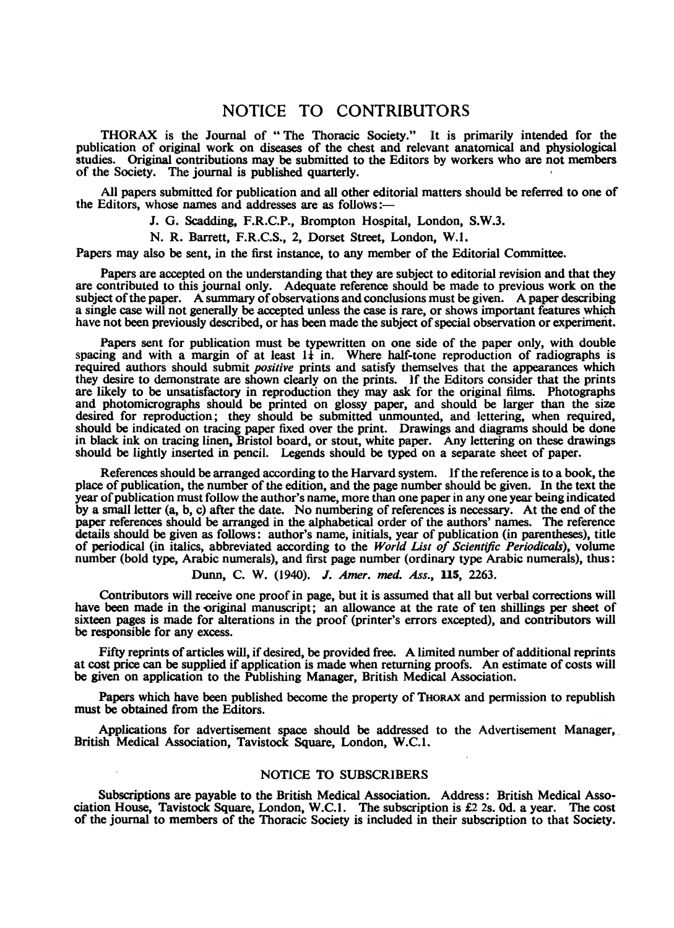## NOTICE TO CONTRIBUTORS

THORAX is the Journal of "The Thoracic Society." It is primarily intended for the publication of original work on diseases of the chest and relevant anatomical and physiological studies. Original contributions may be submitted to the Editors by workers who are not members of the Society. The journal is published quarterly.

All papers submitted for publication and all other editorial matters should be referred to one of the Editors, whose names and addresses are as follows:

J. G. Scadding, F.R.C.P., Brompton Hospital, London, S.W.3.

N. R. Barrett, F.R.C.S., 2, Dorset Street, London, W.I.

Papers may also be sent, in the first instance, to any member of the Editorial Committee.

Papers are accepted on the understanding that they are subject to editorial revision and that they are contributed to this journal only. Adequate reference should be made to previous work on the subject of the paper. A summary of observations and conclusions must be given. A paper describing a single case will not generally be accepted unless the case is rare, or shows important features which have not been previously described, or has been made the subject of special observation or experiment.

Papers sent for publication must be typewritten on one side of the paper only, with double spacing and with a margin of at least  $1\frac{1}{4}$  in. Where half-tone reproduction of radiographs is required authors should submit positive prints and satisfy themselves that the appearances which they desire to demonstrate are shown clearly on the prints. If the Editors consider that the prints are likely to be unsatisfactory in reproduction they may ask for the original films. Photographs and photomicrographs should be printed on glossy paper, and should be larger than the size desired for reproduction; they should be submitted unmounted, and lettering, when required, should be indicated on tracing paper fixed over the print. Drawings and diagrams should be done in black ink on tracing linen, Bristol board, or stout, white paper. Any lettering on these drawings should be lightly inserted in pencil. Legends should be typed on a separate sheet of paper.

References should be arranged according to the Harvard system. If the reference is to a book, the place of publication, the number of the edition, and the page number should be given. In the text the year of publication must follow the author's name, more than one paper in any one year being indicated by a small letter (a, b, c) after the date. No numbering of references is necessary. At the end of the paper references should be arranged in the alphabetical order of the authors' names. The reference details should be given as follows: author's name, initials, year of publication (in parentheses), title of periodical (in italics, abbreviated according to the World List of Scientific Periodicals), volume number (bold type, Arabic numerals), and first page number (ordinary type Arabic numerals), thus:

Dunn, C. W. (1940). J. Amer. med. Ass., 115, 2263.

Contributors will receive one proof in page, but it is assumed that all but verbal corrections will have been made in the original manuscript; an allowance at the rate of ten shillings per sheet of sixteen pages is made for alterations in the proof (printer's errors excepted), and contributors will be responsible for any excess.

Fifty reprints of articles will, if desired, be provided free. A limited number of additional reprints at cost price can be supplied if application is made when returning proofs. An estimate of costs will be given on application to the Publishing Manager, British Medical Association.

Papers which have been published become the property of THORAX and permission to republish must be obtained from the Editors.

Applications for advertisement space should be addressed to the Advertisement Manager, British Medical Association, Tavistock Square, London, W.C.I.

## NOTICE TO SUBSCRIBERS

Subscriptions are payable to the British Medical Association. Address: British Medical Association House, Tavistock Square, London, W.C.I. The subscription is £2 2s. Od. a year. The cost of the journal to members of the Thoracic Society is included in their subscription to that Society.